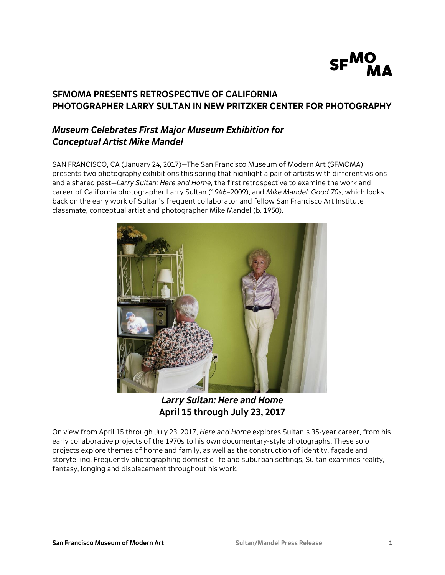

# **SFMOMA PRESENTS RETROSPECTIVE OF CALIFORNIA PHOTOGRAPHER LARRY SULTAN IN NEW PRITZKER CENTER FOR PHOTOGRAPHY**

# *Museum Celebrates First Major Museum Exhibition for Conceptual Artist Mike Mandel*

SAN FRANCISCO, CA (January 24, 2017)—The San Francisco Museum of Modern Art (SFMOMA) presents two photography exhibitions this spring that highlight a pair of artists with different visions and a shared past—*Larry Sultan: Here and Home,* the first retrospective to examine the work and career of California photographer Larry Sultan (1946–2009), and *Mike Mandel: Good 70s,* which looks back on the early work of Sultan's frequent collaborator and fellow San Francisco Art Institute classmate, conceptual artist and photographer Mike Mandel (b. 1950).



*Larry Sultan: Here and Home* **April 15 through July 23, 2017**

On view from April 15 through July 23, 2017, *Here and Home* explores Sultan's 35-year career, from his early collaborative projects of the 1970s to his own documentary-style photographs. These solo projects explore themes of home and family, as well as the construction of identity, façade and storytelling. Frequently photographing domestic life and suburban settings, Sultan examines reality, fantasy, longing and displacement throughout his work.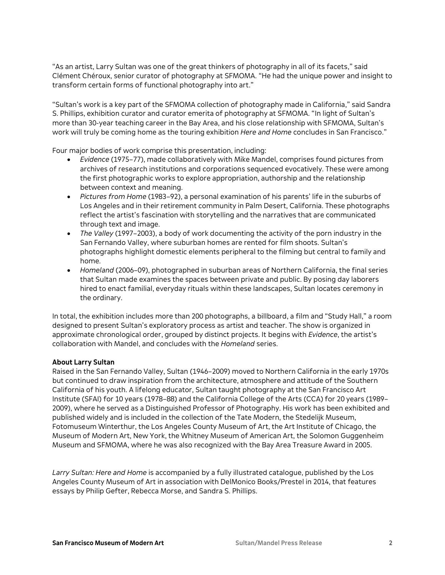"As an artist, Larry Sultan was one of the great thinkers of photography in all of its facets," said Clément Chéroux, senior curator of photography at SFMOMA. "He had the unique power and insight to transform certain forms of functional photography into art."

"Sultan's work is a key part of the SFMOMA collection of photography made in California," said Sandra S. Phillips, exhibition curator and curator emerita of photography at SFMOMA. "In light of Sultan's more than 30-year teaching career in the Bay Area, and his close relationship with SFMOMA, Sultan's work will truly be coming home as the touring exhibition *Here and Home* concludes in San Francisco."

Four major bodies of work comprise this presentation, including:

- *Evidence* (1975–77), made collaboratively with Mike Mandel, comprises found pictures from archives of research institutions and corporations sequenced evocatively. These were among the first photographic works to explore appropriation, authorship and the relationship between context and meaning.
- *Pictures from Home* (1983–92), a personal examination of his parents' life in the suburbs of Los Angeles and in their retirement community in Palm Desert, California. These photographs reflect the artist's fascination with storytelling and the narratives that are communicated through text and image.
- *The Valley* (1997–2003), a body of work documenting the activity of the porn industry in the San Fernando Valley, where suburban homes are rented for film shoots. Sultan's photographs highlight domestic elements peripheral to the filming but central to family and home.
- *Homeland* (2006–09), photographed in suburban areas of Northern California, the final series that Sultan made examines the spaces between private and public. By posing day laborers hired to enact familial, everyday rituals within these landscapes, Sultan locates ceremony in the ordinary.

In total, the exhibition includes more than 200 photographs, a billboard, a film and "Study Hall," a room designed to present Sultan's exploratory process as artist and teacher. The show is organized in approximate chronological order, grouped by distinct projects. It begins with *Evidence*, the artist's collaboration with Mandel, and concludes with the *Homeland* series.

# **About Larry Sultan**

Raised in the San Fernando Valley, Sultan (1946–2009) moved to Northern California in the early 1970s but continued to draw inspiration from the architecture, atmosphere and attitude of the Southern California of his youth. A lifelong educator, Sultan taught photography at the San Francisco Art Institute (SFAI) for 10 years (1978–88) and the California College of the Arts (CCA) for 20 years (1989– 2009), where he served as a Distinguished Professor of Photography. His work has been exhibited and published widely and is included in the collection of the Tate Modern, the Stedelijk Museum, Fotomuseum Winterthur, the Los Angeles County Museum of Art, the Art Institute of Chicago, the Museum of Modern Art, New York, the Whitney Museum of American Art, the Solomon Guggenheim Museum and SFMOMA, where he was also recognized with the Bay Area Treasure Award in 2005.

*Larry Sultan: Here and Home* is accompanied by a fully illustrated catalogue, published by the Los Angeles County Museum of Art in association with DelMonico Books/Prestel in 2014, that features essays by Philip Gefter, Rebecca Morse, and Sandra S. Phillips.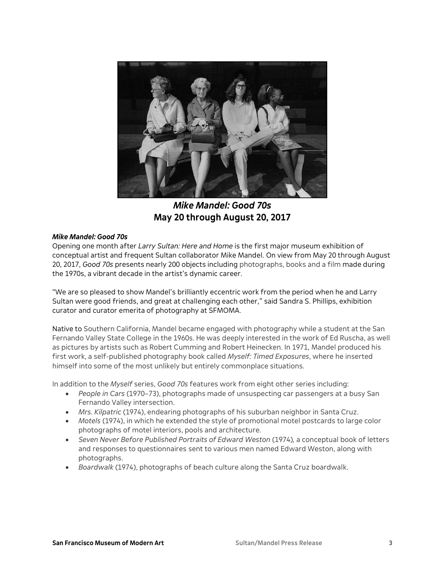

*Mike Mandel: Good 70s* **May 20 through August 20, 2017**

### *Mike Mandel: Good 70s*

Opening one month after *Larry Sultan: Here and Home* is the first major museum exhibition of conceptual artist and frequent Sultan collaborator Mike Mandel. On view from May 20 through August 20, 2017, *Good 70s* presents nearly 200 objects including photographs, books and a film made during the 1970s, a vibrant decade in the artist's dynamic career.

"We are so pleased to show Mandel's brilliantly eccentric work from the period when he and Larry Sultan were good friends, and great at challenging each other," said Sandra S. Phillips, exhibition curator and curator emerita of photography at SFMOMA.

Native to Southern California, Mandel became engaged with photography while a student at the San Fernando Valley State College in the 1960s. He was deeply interested in the work of Ed Ruscha, as well as pictures by artists such as Robert Cumming and Robert Heinecken. In 1971, Mandel produced his first work, a self-published photography book called *Myself: Timed Exposures*, where he inserted himself into some of the most unlikely but entirely commonplace situations.

In addition to the *Myself* series, *Good 70s* features work from eight other series including:

- *People in Cars* (1970–73), photographs made of unsuspecting car passengers at a busy San Fernando Valley intersection.
- *Mrs. Kilpatric* (1974), endearing photographs of his suburban neighbor in Santa Cruz.
- *Motels* (1974), in which he extended the style of promotional motel postcards to large color photographs of motel interiors, pools and architecture.
- *Seven Never Before Published Portraits of Edward Weston* (1974)*,* a conceptual book of letters and responses to questionnaires sent to various men named Edward Weston, along with photographs.
- *Boardwalk* (1974), photographs of beach culture along the Santa Cruz boardwalk.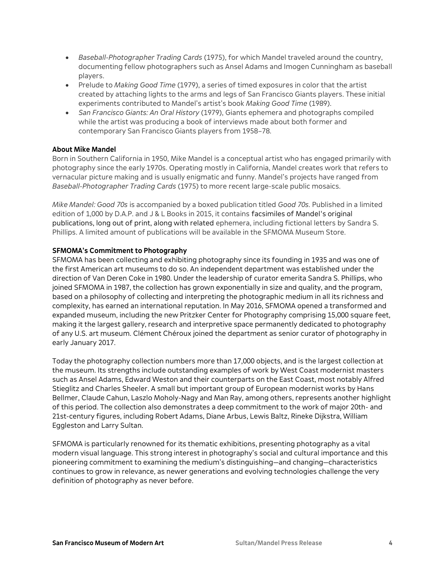- *Baseball-Photographer Trading Cards* (1975), for which Mandel traveled around the country, documenting fellow photographers such as Ansel Adams and Imogen Cunningham as baseball players.
- Prelude to *Making Good Time* (1979), a series of timed exposures in color that the artist created by attaching lights to the arms and legs of San Francisco Giants players. These initial experiments contributed to Mandel's artist's book *Making Good Time* (1989).
- *San Francisco Giants: An Oral History* (1979), Giants ephemera and photographs compiled while the artist was producing a book of interviews made about both former and contemporary San Francisco Giants players from 1958–78.

# **About Mike Mandel**

Born in Southern California in 1950, Mike Mandel is a conceptual artist who has engaged primarily with photography since the early 1970s. Operating mostly in California, Mandel creates work that refers to vernacular picture making and is usually enigmatic and funny. Mandel's projects have ranged from *Baseball-Photographer Trading Cards* (1975) to more recent large-scale public mosaics.

*Mike Mandel: Good 70s* is accompanied by a boxed publication titled *Good 70s.* Published in a limited edition of 1,000 by D.A.P. and J & L Books in 2015, it contains facsimiles of Mandel's original publications, long out of print, along with related ephemera, including fictional letters by Sandra S. Phillips. A limited amount of publications will be available in the SFMOMA Museum Store.

# **SFMOMA's Commitment to Photography**

SFMOMA has been collecting and exhibiting photography since its founding in 1935 and was one of the first American art museums to do so. An independent department was established under the direction of Van Deren Coke in 1980. Under the leadership of curator emerita Sandra S. Phillips, who joined SFMOMA in 1987, the collection has grown exponentially in size and quality, and the program, based on a philosophy of collecting and interpreting the photographic medium in all its richness and complexity, has earned an international reputation. In May 2016, SFMOMA opened a transformed and expanded museum, including the new Pritzker Center for Photography comprising 15,000 square feet, making it the largest gallery, research and interpretive space permanently dedicated to photography of any U.S. art museum. Clément Chéroux joined the department as senior curator of photography in early January 2017.

Today the photography collection numbers more than 17,000 objects, and is the largest collection at the museum. Its strengths include outstanding examples of work by West Coast modernist masters such as Ansel Adams, Edward Weston and their counterparts on the East Coast, most notably Alfred Stieglitz and Charles Sheeler. A small but important group of European modernist works by Hans Bellmer, Claude Cahun, Laszlo Moholy-Nagy and Man Ray, among others, represents another highlight of this period. The collection also demonstrates a deep commitment to the work of major 20th- and 21st-century figures, including Robert Adams, Diane Arbus, Lewis Baltz, Rineke Dijkstra, William Eggleston and Larry Sultan.

SFMOMA is particularly renowned for its thematic exhibitions, presenting photography as a vital modern visual language. This strong interest in photography's social and cultural importance and this pioneering commitment to examining the medium's distinguishing—and changing—characteristics continues to grow in relevance, as newer generations and evolving technologies challenge the very definition of photography as never before.